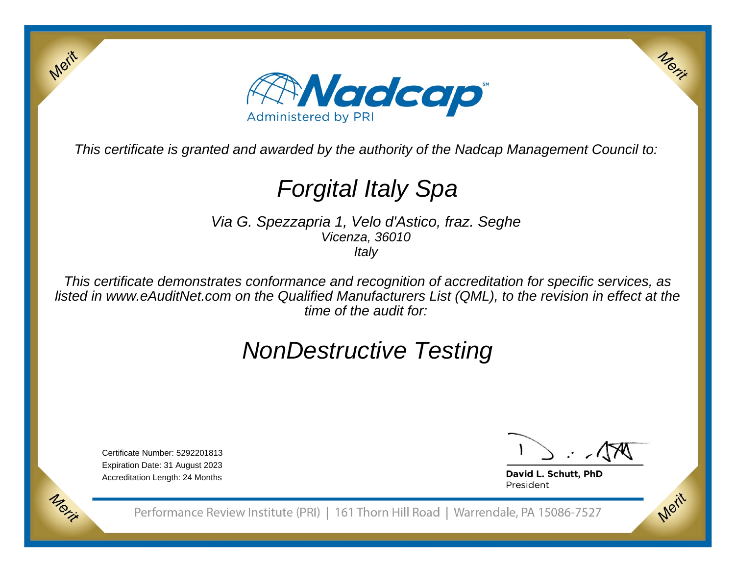

This certificate is granted and awarded by the authority of the Nadcap Management Council to:

# Forgital Italy Spa

Via G. Spezzapria 1, Velo d'Astico, fraz. SegheVicenza, 36010**Italy** 

This certificate demonstrates conformance and recognition of accreditation for specific services, as listed in www.eAuditNet.com on the Qualified Manufacturers List (QML), to the revision in effect at thetime of the audit for:

## NonDestructive Testing

Certificate Number: 5292201813 Expiration Date: 31 August 2023Accreditation Length: 24 Months

Merit

Morie

Merit

Merit

David L. Schutt, PhD President

Performance Review Institute (PRI) | 161 Thorn Hill Road | Warrendale, PA 15086-7527